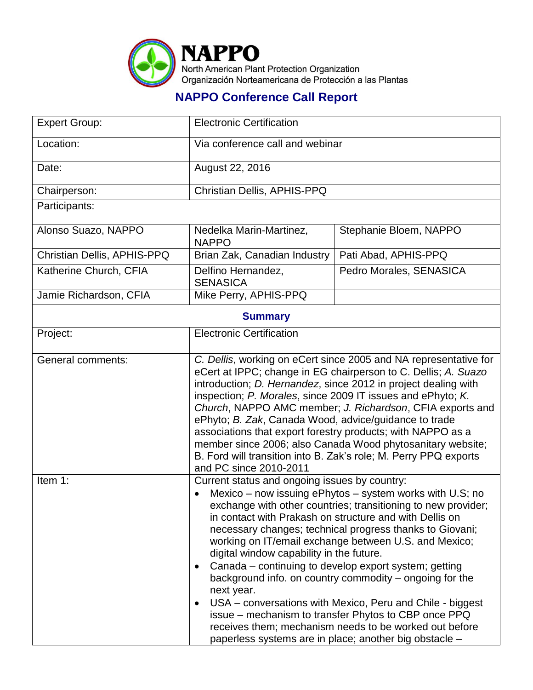

## **NAPPO Conference Call Report**

| <b>Expert Group:</b>        | <b>Electronic Certification</b>                                                                                                                                                                                                                                                                                                                                                                                                                                                                                                                                                                                                                                                                                                                                                                                          |                         |  |  |
|-----------------------------|--------------------------------------------------------------------------------------------------------------------------------------------------------------------------------------------------------------------------------------------------------------------------------------------------------------------------------------------------------------------------------------------------------------------------------------------------------------------------------------------------------------------------------------------------------------------------------------------------------------------------------------------------------------------------------------------------------------------------------------------------------------------------------------------------------------------------|-------------------------|--|--|
| Location:                   | Via conference call and webinar                                                                                                                                                                                                                                                                                                                                                                                                                                                                                                                                                                                                                                                                                                                                                                                          |                         |  |  |
| Date:                       | August 22, 2016                                                                                                                                                                                                                                                                                                                                                                                                                                                                                                                                                                                                                                                                                                                                                                                                          |                         |  |  |
| Chairperson:                | Christian Dellis, APHIS-PPQ                                                                                                                                                                                                                                                                                                                                                                                                                                                                                                                                                                                                                                                                                                                                                                                              |                         |  |  |
| Participants:               |                                                                                                                                                                                                                                                                                                                                                                                                                                                                                                                                                                                                                                                                                                                                                                                                                          |                         |  |  |
| Alonso Suazo, NAPPO         | Nedelka Marin-Martinez,<br><b>NAPPO</b>                                                                                                                                                                                                                                                                                                                                                                                                                                                                                                                                                                                                                                                                                                                                                                                  | Stephanie Bloem, NAPPO  |  |  |
| Christian Dellis, APHIS-PPQ | Brian Zak, Canadian Industry                                                                                                                                                                                                                                                                                                                                                                                                                                                                                                                                                                                                                                                                                                                                                                                             | Pati Abad, APHIS-PPQ    |  |  |
| Katherine Church, CFIA      | Delfino Hernandez,<br><b>SENASICA</b>                                                                                                                                                                                                                                                                                                                                                                                                                                                                                                                                                                                                                                                                                                                                                                                    | Pedro Morales, SENASICA |  |  |
| Jamie Richardson, CFIA      | Mike Perry, APHIS-PPQ                                                                                                                                                                                                                                                                                                                                                                                                                                                                                                                                                                                                                                                                                                                                                                                                    |                         |  |  |
| <b>Summary</b>              |                                                                                                                                                                                                                                                                                                                                                                                                                                                                                                                                                                                                                                                                                                                                                                                                                          |                         |  |  |
| Project:                    | <b>Electronic Certification</b>                                                                                                                                                                                                                                                                                                                                                                                                                                                                                                                                                                                                                                                                                                                                                                                          |                         |  |  |
| General comments:           | C. Dellis, working on eCert since 2005 and NA representative for<br>eCert at IPPC; change in EG chairperson to C. Dellis; A. Suazo<br>introduction; <i>D. Hernandez</i> , since 2012 in project dealing with<br>inspection; P. Morales, since 2009 IT issues and ePhyto; K.<br>Church, NAPPO AMC member; J. Richardson, CFIA exports and<br>ePhyto; B. Zak, Canada Wood, advice/guidance to trade<br>associations that export forestry products; with NAPPO as a<br>member since 2006; also Canada Wood phytosanitary website;<br>B. Ford will transition into B. Zak's role; M. Perry PPQ exports<br>and PC since 2010-2011                                                                                                                                                                                             |                         |  |  |
| Item 1:                     | Current status and ongoing issues by country:<br>Mexico – now issuing ePhytos – system works with U.S; no<br>$\bullet$<br>exchange with other countries; transitioning to new provider;<br>in contact with Prakash on structure and with Dellis on<br>necessary changes; technical progress thanks to Giovani;<br>working on IT/email exchange between U.S. and Mexico;<br>digital window capability in the future.<br>Canada – continuing to develop export system; getting<br>$\bullet$<br>background info. on country commodity – ongoing for the<br>next year.<br>USA – conversations with Mexico, Peru and Chile - biggest<br>$\bullet$<br>issue – mechanism to transfer Phytos to CBP once PPQ<br>receives them; mechanism needs to be worked out before<br>paperless systems are in place; another big obstacle - |                         |  |  |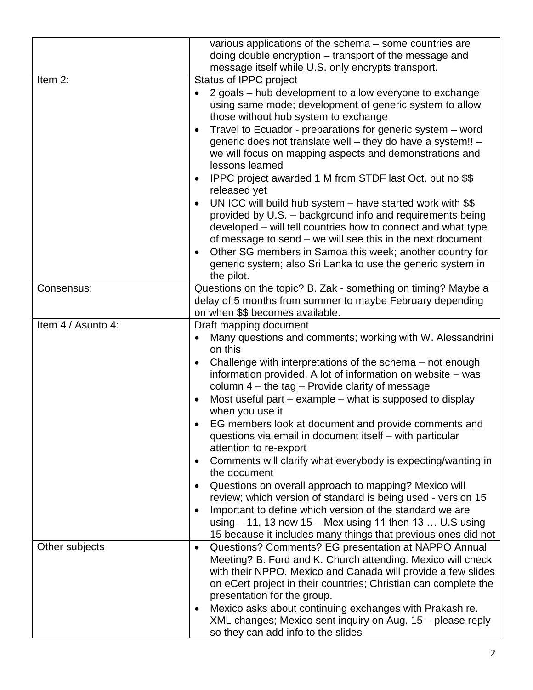|                    | various applications of the schema – some countries are<br>doing double encryption - transport of the message and<br>message itself while U.S. only encrypts transport.                                                                                                                                                                                                                                                                                                                                                                                                                                                                                                                                                                                                                                                                                                                                                                                                          |  |
|--------------------|----------------------------------------------------------------------------------------------------------------------------------------------------------------------------------------------------------------------------------------------------------------------------------------------------------------------------------------------------------------------------------------------------------------------------------------------------------------------------------------------------------------------------------------------------------------------------------------------------------------------------------------------------------------------------------------------------------------------------------------------------------------------------------------------------------------------------------------------------------------------------------------------------------------------------------------------------------------------------------|--|
| Item 2:            | Status of IPPC project<br>2 goals - hub development to allow everyone to exchange<br>using same mode; development of generic system to allow<br>those without hub system to exchange<br>Travel to Ecuador - preparations for generic system - word<br>generic does not translate well - they do have a system!! -<br>we will focus on mapping aspects and demonstrations and<br>lessons learned<br>IPPC project awarded 1 M from STDF last Oct. but no \$\$<br>$\bullet$<br>released yet<br>UN ICC will build hub system - have started work with \$\$<br>$\bullet$<br>provided by U.S. - background info and requirements being<br>developed - will tell countries how to connect and what type<br>of message to send – we will see this in the next document<br>Other SG members in Samoa this week; another country for<br>$\bullet$<br>generic system; also Sri Lanka to use the generic system in<br>the pilot.                                                             |  |
| Consensus:         | Questions on the topic? B. Zak - something on timing? Maybe a<br>delay of 5 months from summer to maybe February depending<br>on when \$\$ becomes available.                                                                                                                                                                                                                                                                                                                                                                                                                                                                                                                                                                                                                                                                                                                                                                                                                    |  |
| Item 4 / Asunto 4: | Draft mapping document<br>Many questions and comments; working with W. Alessandrini<br>on this<br>Challenge with interpretations of the schema – not enough<br>$\bullet$<br>information provided. A lot of information on website - was<br>column $4$ – the tag – Provide clarity of message<br>Most useful part – example – what is supposed to display<br>$\bullet$<br>when you use it<br>EG members look at document and provide comments and<br>questions via email in document itself - with particular<br>attention to re-export<br>Comments will clarify what everybody is expecting/wanting in<br>$\bullet$<br>the document<br>Questions on overall approach to mapping? Mexico will<br>$\bullet$<br>review; which version of standard is being used - version 15<br>Important to define which version of the standard we are<br>$\bullet$<br>using $-11$ , 13 now 15 – Mex using 11 then 13  U.S using<br>15 because it includes many things that previous ones did not |  |
| Other subjects     | Questions? Comments? EG presentation at NAPPO Annual<br>$\bullet$<br>Meeting? B. Ford and K. Church attending. Mexico will check<br>with their NPPO. Mexico and Canada will provide a few slides<br>on eCert project in their countries; Christian can complete the<br>presentation for the group.<br>Mexico asks about continuing exchanges with Prakash re.<br>$\bullet$<br>XML changes; Mexico sent inquiry on Aug. 15 - please reply<br>so they can add info to the slides                                                                                                                                                                                                                                                                                                                                                                                                                                                                                                   |  |